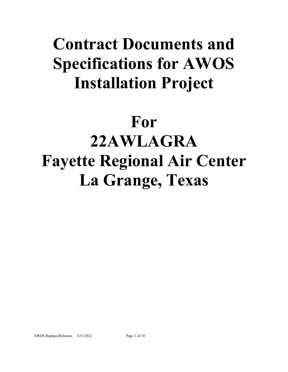## **Contract Documents and Specifications for AWOS Installation Project**

# **For 22AWLAGRA Fayette Regional Air Center La Grange, Texas**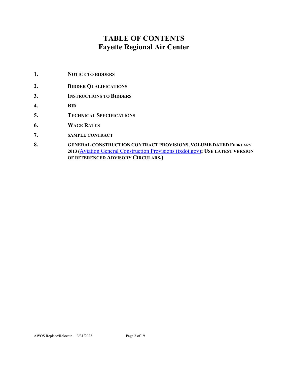## **TABLE OF CONTENTS Fayette Regional Air Center**

- **1. NOTICE TO BIDDERS**
- **2. BIDDER QUALIFICATIONS**
- **3. INSTRUCTIONS TO BIDDERS**
- **4. BID**
- **5. TECHNICAL SPECIFICATIONS**
- **6. WAGE RATES**
- **7. SAMPLE CONTRACT**
- **8. GENERAL CONSTRUCTION CONTRACT PROVISIONS, VOLUME DATED FEBRUARY 2013 (**[Aviation General Construction Provisions \(txdot.gov\)](https://www.txdot.gov/inside-txdot/division/aviation/general-provisions.html)**; USE LATEST VERSION OF REFERENCED ADVISORY CIRCULARS.)**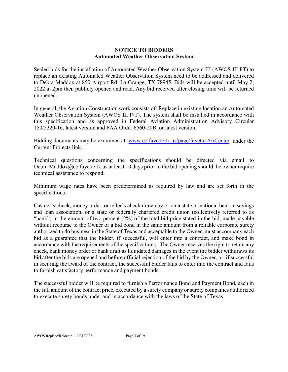#### **NOTICE TO BIDDERS Automated Weather Observation System**

Sealed bids for the installation of Automated Weather Observation System III (AWOS III PT) to replace an existing Automated Weather Observation System need to be addressed and delivered to Debra Maddox at 850 Airport Rd, La Grange, TX 78945. Bids will be accepted until May 2, 2022 at 2pm then publicly opened and read. Any bid received after closing time will be returned unopened.

In general, the Aviation Construction work consists of: Replace in existing location an Automated Weather Observation System (AWOS III P/T). The system shall be installed in accordance with this specification and as approved in Federal Aviation Administration Advisory Circular 150/5220-16, latest version and FAA Order 6560-20B, or latest version.

Bidding documents may be examined at: [www.co.fayette.tx.us/page/fayette.AirCenter](http://www.co.fayette.tx.us/page/fayette.AirCenter) under the Current Projects link.

Technical questions concerning the specifications should be directed via email to Debra.Maddox $@co$ .fayette.tx.us at least 10 days prior to the bid opening should the owner require technical assistance to respond.

Minimum wage rates have been predetermined as required by law and are set forth in the specifications.

Cashier's check, money order, or teller's check drawn by or on a state or national bank, a savings and loan association, or a state or federally chartered credit union (collectively referred to as "bank") in the amount of two percent (2%) of the total bid price stated in the bid, made payable without recourse to the Owner or a bid bond in the same amount from a reliable corporate surety authorized to do business in the State of Texas and acceptable to the Owner, must accompany each bid as a guarantee that the bidder, if successful, will enter into a contract, and make bond in accordance with the requirements of the specifications. The Owner reserves the right to retain any check, bank money order or bank draft as liquidated damages in the event the bidder withdraws its bid after the bids are opened and before official rejection of the bid by the Owner, or, if successful in securing the award of the contract, the successful bidder fails to enter into the contract and fails to furnish satisfactory performance and payment bonds.

The successful bidder will be required to furnish a Performance Bond and Payment Bond, each in the full amount of the contract price, executed by a surety company or surety companies authorized to execute surety bonds under and in accordance with the laws of the State of Texas.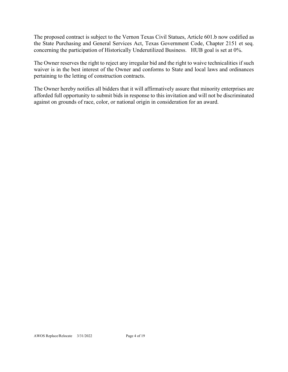The proposed contract is subject to the Vernon Texas Civil Statues, Article 601.b now codified as the State Purchasing and General Services Act, Texas Government Code, Chapter 2151 et seq. concerning the participation of Historically Underutilized Business. HUB goal is set at 0%.

The Owner reserves the right to reject any irregular bid and the right to waive technicalities if such waiver is in the best interest of the Owner and conforms to State and local laws and ordinances pertaining to the letting of construction contracts.

The Owner hereby notifies all bidders that it will affirmatively assure that minority enterprises are afforded full opportunity to submit bids in response to this invitation and will not be discriminated against on grounds of race, color, or national origin in consideration for an award.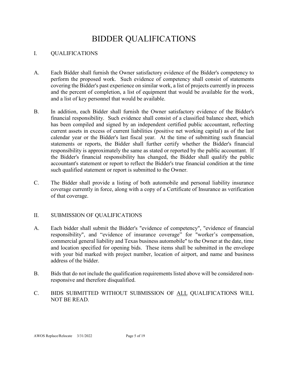## BIDDER QUALIFICATIONS

### I. QUALIFICATIONS

- A. Each Bidder shall furnish the Owner satisfactory evidence of the Bidder's competency to perform the proposed work. Such evidence of competency shall consist of statements covering the Bidder's past experience on similar work, a list of projects currently in process and the percent of completion, a list of equipment that would be available for the work, and a list of key personnel that would be available.
- B. In addition, each Bidder shall furnish the Owner satisfactory evidence of the Bidder's financial responsibility. Such evidence shall consist of a classified balance sheet, which has been compiled and signed by an independent certified public accountant, reflecting current assets in excess of current liabilities (positive net working capital) as of the last calendar year or the Bidder's last fiscal year. At the time of submitting such financial statements or reports, the Bidder shall further certify whether the Bidder's financial responsibility is approximately the same as stated or reported by the public accountant. If the Bidder's financial responsibility has changed, the Bidder shall qualify the public accountant's statement or report to reflect the Bidder's true financial condition at the time such qualified statement or report is submitted to the Owner.
- C. The Bidder shall provide a listing of both automobile and personal liability insurance coverage currently in force, along with a copy of a Certificate of Insurance as verification of that coverage.

#### II. SUBMISSION OF QUALIFICATIONS

- A. Each bidder shall submit the Bidder's "evidence of competency", "evidence of financial responsibility", and "evidence of insurance coverage" for "worker's compensation, commercial general liability and Texas business automobile" to the Owner at the date, time and location specified for opening bids. These items shall be submitted in the envelope with your bid marked with project number, location of airport, and name and business address of the bidder.
- B. Bids that do not include the qualification requirements listed above will be considered nonresponsive and therefore disqualified.
- C. BIDS SUBMITTED WITHOUT SUBMISSION OF ALL QUALIFICATIONS WILL NOT BE READ.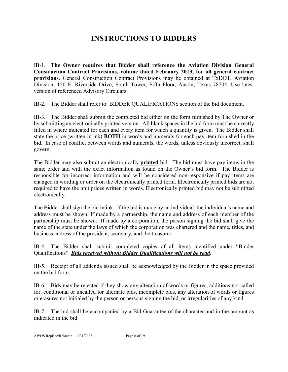## **INSTRUCTIONS TO BIDDERS**

IB-1. **The Owner requires that Bidder shall reference the Aviation Division General Construction Contract Provisions, volume dated February 2013, for all general contract provisions**. General Construction Contract Provisions may be obtained at TxDOT, Aviation Division, 150 E. Riverside Drive, South Tower, Fifth Floor, Austin, Texas 78704; Use latest version of referenced Advisory Circulars.

IB-2. The Bidder shall refer to: BIDDER QUALIFICATIONS section of the bid document.

IB-3. The Bidder shall submit the completed bid either on the form furnished by The Owner or by submitting an electronically printed version. All blank spaces in the bid form must be correctly filled in where indicated for each and every item for which a quantity is given. The Bidder shall state the price (written in ink) **BOTH** in words and numerals for each pay item furnished in the bid. In case of conflict between words and numerals, the words, unless obviously incorrect, shall govern.

The Bidder may also submit an electronically **printed** bid. The bid must have pay items in the same order and with the exact information as found on the Owner's bid form. The Bidder is responsible for incorrect information and will be considered non-responsive if pay items are changed in wording or order on the electronically printed form. Electronically printed bids are not required to have the unit prices written in words. Electronically printed bid may not be submitted electronically.

The Bidder shall sign the bid in ink. If the bid is made by an individual, the individual's name and address must be shown. If made by a partnership, the name and address of each member of the partnership must be shown. If made by a corporation, the person signing the bid shall give the name of the state under the laws of which the corporation was chartered and the name, titles, and business address of the president, secretary, and the treasurer.

IB-4. The Bidder shall submit completed copies of all items identified under "Bidder Qualifications". *Bids received without Bidder Qualifications will not be read.*

IB-5. Receipt of all addenda issued shall be acknowledged by the Bidder in the space provided on the bid form.

IB-6. Bids may be rejected if they show any alteration of words or figures, additions not called for, conditional or uncalled for alternate bids, incomplete bids, any alteration of words or figures or erasures not initialed by the person or persons signing the bid, or irregularities of any kind.

IB-7. The bid shall be accompanied by a Bid Guarantee of the character and in the amount as indicated in the bid.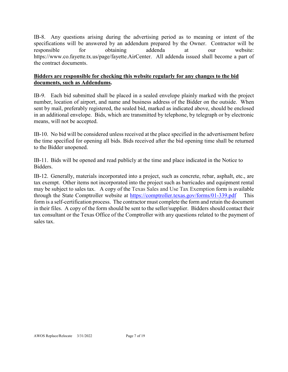IB-8. Any questions arising during the advertising period as to meaning or intent of the specifications will be answered by an addendum prepared by the Owner. Contractor will be responsible for obtaining addenda at our website: https://www.co.fayette.tx.us/page/fayette.AirCenter. All addenda issued shall become a part of the contract documents.

## **Bidders are responsible for checking this website regularly for any changes to the bid documents, such as Addendums.**

IB-9. Each bid submitted shall be placed in a sealed envelope plainly marked with the project number, location of airport, and name and business address of the Bidder on the outside. When sent by mail, preferably registered, the sealed bid, marked as indicated above, should be enclosed in an additional envelope. Bids, which are transmitted by telephone, by telegraph or by electronic means, will not be accepted.

IB-10. No bid will be considered unless received at the place specified in the advertisement before the time specified for opening all bids. Bids received after the bid opening time shall be returned to the Bidder unopened.

IB-11. Bids will be opened and read publicly at the time and place indicated in the Notice to Bidders.

IB-12. Generally, materials incorporated into a project, such as concrete, rebar, asphalt, etc., are tax exempt. Other items not incorporated into the project such as barricades and equipment rental may be subject to sales tax. A copy of the Texas Sales and Use Tax Exemption form is available through the State Comptroller website at<https://comptroller.texas.gov/forms/01-339.pdf> This form is a self-certification process. The contractor must complete the form and retain the document in their files. A copy of the form should be sent to the seller/supplier. Bidders should contact their tax consultant or the Texas Office of the Comptroller with any questions related to the payment of sales tax.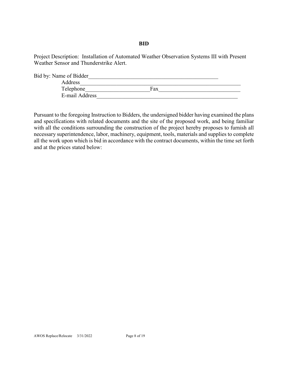#### **BID**

Project Description: Installation of Automated Weather Observation Systems III with Present Weather Sensor and Thunderstrike Alert.

| Bid by: Name of Bidder |     |  |
|------------------------|-----|--|
| Address                |     |  |
| Telephone              | Fax |  |
| E-mail Address         |     |  |

Pursuant to the foregoing Instruction to Bidders, the undersigned bidder having examined the plans and specifications with related documents and the site of the proposed work, and being familiar with all the conditions surrounding the construction of the project hereby proposes to furnish all necessary superintendence, labor, machinery, equipment, tools, materials and supplies to complete all the work upon which is bid in accordance with the contract documents, within the time set forth and at the prices stated below: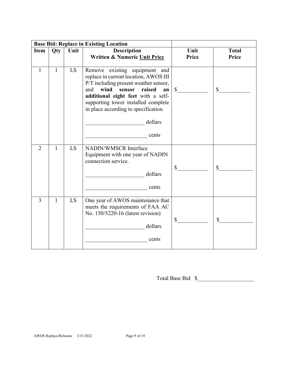| <b>Base Bid: Replace in Existing Location</b> |              |      |                                                                                                                                                                                                                                                                                                  |                |              |
|-----------------------------------------------|--------------|------|--------------------------------------------------------------------------------------------------------------------------------------------------------------------------------------------------------------------------------------------------------------------------------------------------|----------------|--------------|
| Item                                          | Qty          | Unit | <b>Description</b>                                                                                                                                                                                                                                                                               | Unit           | <b>Total</b> |
|                                               |              |      | Written & Numeric Unit Price                                                                                                                                                                                                                                                                     | Price          | Price        |
| 1                                             | $\mathbf{1}$ | LS   | Remove existing equipment and<br>replace in current location, AWOS III<br>P/T including present weather sensor,<br>wind<br>sensor<br>raised<br>and<br>an<br>additional eight feet with a self-<br>supporting tower installed complete<br>in place according to specification<br>dollars<br>cents | $\mathbb{S}^-$ | $\mathbb{S}$ |
| $\overline{2}$                                | $\mathbf{1}$ | LS   | NADIN/WMSCR Interface<br>Equipment with one year of NADIN<br>connection service.<br>dollars<br>cents                                                                                                                                                                                             | $\mathbb{S}$   | $\mathbb{S}$ |
| $\overline{3}$                                | $\mathbf{1}$ | LS   | One year of AWOS maintenance that<br>meets the requirements of FAA AC<br>No. 150/5220-16 (latest revision)<br>dollars<br>cents                                                                                                                                                                   | \$             | $\mathbb{S}$ |

Total Base Bid  $\quad \$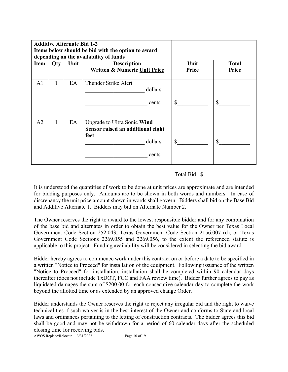| <b>Additive Alternate Bid 1-2</b><br>Items below should be bid with the option to award<br>depending on the availability of funds |     |      |                                                                                              |               |                       |
|-----------------------------------------------------------------------------------------------------------------------------------|-----|------|----------------------------------------------------------------------------------------------|---------------|-----------------------|
| <b>Item</b>                                                                                                                       | Qty | Unit | <b>Description</b><br>Written & Numeric Unit Price                                           | Unit<br>Price | <b>Total</b><br>Price |
| A <sub>1</sub>                                                                                                                    |     | EA   | Thunder Strike Alert<br>dollars<br>cents                                                     | \$            | \$                    |
| A <sub>2</sub>                                                                                                                    | 1   | EA   | Upgrade to Ultra Sonic Wind<br>Sensor raised an additional eight<br>feet<br>dollars<br>cents | \$            | \$                    |

## Total Bid \$\_\_\_\_\_\_\_\_\_\_\_\_\_\_\_\_\_\_

It is understood the quantities of work to be done at unit prices are approximate and are intended for bidding purposes only. Amounts are to be shown in both words and numbers. In case of discrepancy the unit price amount shown in words shall govern. Bidders shall bid on the Base Bid and Additive Alternate 1. Bidders may bid on Alternate Number 2.

The Owner reserves the right to award to the lowest responsible bidder and for any combination of the base bid and alternates in order to obtain the best value for the Owner per Texas Local Government Code Section 252.043, Texas Government Code Section 2156.007 (d), or Texas Government Code Sections 2269.055 and 2269.056, to the extent the referenced statute is applicable to this project. Funding availability will be considered in selecting the bid award.

Bidder hereby agrees to commence work under this contract on or before a date to be specified in a written "Notice to Proceed" for installation of the equipment. Following issuance of the written "Notice to Proceed" for installation, installation shall be completed within 90 calendar days thereafter (does not include TxDOT, FCC and FAA review time). Bidder further agrees to pay as liquidated damages the sum of \$200.00 for each consecutive calendar day to complete the work beyond the allotted time or as extended by an approved change Order.

Bidder understands the Owner reserves the right to reject any irregular bid and the right to waive technicalities if such waiver is in the best interest of the Owner and conforms to State and local laws and ordinances pertaining to the letting of construction contracts. The bidder agrees this bid shall be good and may not be withdrawn for a period of 60 calendar days after the scheduled closing time for receiving bids.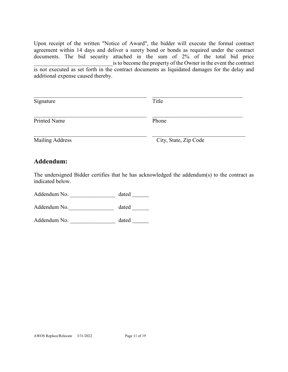Upon receipt of the written "Notice of Award", the bidder will execute the formal contract agreement within 14 days and deliver a surety bond or bonds as required under the contract documents. The bid security attached in the sum of 2% of the total bid price \_\_\_\_\_\_\_\_\_\_\_\_\_\_\_\_\_\_\_\_\_\_\_\_\_\_\_\_is to become the property of the Owner in the event the contract is not executed as set forth in the contract documents as liquidated damages for the delay and

additional expense caused thereby.

| Signature           | Title                 |
|---------------------|-----------------------|
| <b>Printed Name</b> | Phone                 |
| Mailing Address     | City, State, Zip Code |

## **Addendum:**

The undersigned Bidder certifies that he has acknowledged the addendum(s) to the contract as indicated below.

Addendum No. \_\_\_\_\_\_\_\_\_\_\_\_\_\_\_\_\_\_\_\_\_\_\_\_\_ dated \_\_\_\_\_\_\_\_\_

Addendum No. but a dated a dated  $\sim$ 

Addendum No. \_\_\_\_\_\_\_\_\_\_\_\_\_\_\_\_\_\_\_\_\_\_\_\_\_\_ dated \_\_\_\_\_\_\_\_\_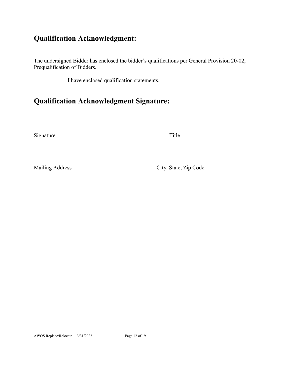## **Qualification Acknowledgment:**

The undersigned Bidder has enclosed the bidder's qualifications per General Provision 20-02, Prequalification of Bidders.

I have enclosed qualification statements.

## **Qualification Acknowledgment Signature:**

Signature Title

 $\_$ 

\_\_\_\_\_\_\_\_\_\_\_\_\_\_\_\_\_\_\_\_\_\_\_\_\_\_\_\_\_\_\_\_\_\_\_\_\_\_\_\_ \_\_\_\_\_\_\_\_\_\_\_\_\_\_\_\_\_\_\_\_\_\_\_\_\_\_\_\_\_\_\_\_\_ Mailing Address City, State, Zip Code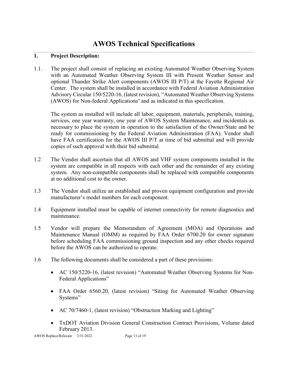## **AWOS Technical Specifications**

## **1. Project Description:**

1.1. The project shall consist of replacing an existing Automated Weather Observing System with an Automated Weather Observing System III with Present Weather Sensor and optional Thunder Strike Alert components (AWOS III P/T) at the Fayette Regional Air Center. The system shall be installed in accordance with Federal Aviation Administration Advisory Circular 150/5220-16, (latest revision), "Automated Weather Observing Systems (AWOS) for Non-federal Applications" and as indicated in this specification.

The system as installed will include all labor, equipment, materials, peripherals, training, services, one year warranty, one year of AWOS System Maintenance, and incidentals as necessary to place the system in operation to the satisfaction of the Owner/State and be ready for commissioning by the Federal Aviation Administration (FAA). Vendor shall have FAA certification for the AWOS III P/T at time of bid submittal and will provide copies of such approval with their bid submittal.

- 1.2 The Vendor shall ascertain that all AWOS and VHF system components installed in the system are compatible in all respects with each other and the remainder of any existing system. Any non-compatible components shall be replaced with compatible components at no additional cost to the owner.
- 1.3 The Vendor shall utilize an established and proven equipment configuration and provide manufacturer's model numbers for each component.
- 1.4 Equipment installed must be capable of internet connectivity for remote diagnostics and maintenance.
- 1.5 Vendor will prepare the Memorandum of Agreement (MOA) and Operations and Maintenance Manual (OMM) as required by FAA Order 6700.20 for owner signature before scheduling FAA commissioning ground inspection and any other checks required before the AWOS can be authorized to operate.
- 1.6 The following documents shall be considered a part of these provisions:
	- AC 150/5220-16, (latest revision) "Automated Weather Observing Systems for Non-Federal Applications"
	- FAA Order 6560.20, (latest revision) "Siting for Automated Weather Observing Systems"
	- AC 70/7460-1, (latest revision) "Obstruction Marking and Lighting"
	- TxDOT Aviation Division General Construction Contract Provisions, Volume dated February 2013.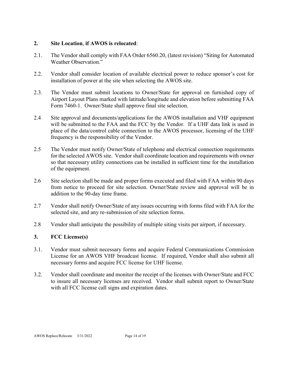## **2. Site Location**, **if AWOS is relocated**:

- 2.1. The Vendor shall comply with FAA Order 6560.20, (latest revision) "Siting for Automated Weather Observation."
- 2.2. Vendor shall consider location of available electrical power to reduce sponsor's cost for installation of power at the site when selecting the AWOS site.
- 2.3. The Vendor must submit locations to Owner/State for approval on furnished copy of Airport Layout Plans marked with latitude/longitude and elevation before submitting FAA Form 7460-1. Owner/State shall approve final site selection.
- 2.4 Site approval and documents/applications for the AWOS installation and VHF equipment will be submitted to the FAA and the FCC by the Vendor. If a UHF data link is used in place of the data/control cable connection to the AWOS processor, licensing of the UHF frequency is the responsibility of the Vendor.
- 2.5 The Vendor must notify Owner/State of telephone and electrical connection requirements for the selected AWOS site. Vendor shall coordinate location and requirements with owner so that necessary utility connections can be installed in sufficient time for the installation of the equipment.
- 2.6 Site selection shall be made and proper forms executed and filed with FAA within 90 days from notice to proceed for site selection. Owner/State review and approval will be in addition to the 90-day time frame.
- 2.7 Vendor shall notify Owner/State of any issues occurring with forms filed with FAA for the selected site, and any re-submission of site selection forms.
- 2.8 Vendor shall anticipate the possibility of multiple siting visits per airport, if necessary.

## **3. FCC License(s)**

- 3.1. Vendor must submit necessary forms and acquire Federal Communications Commission License for an AWOS VHF broadcast license. If required, Vendor shall also submit all necessary forms and acquire FCC license for UHF license.
- 3.2. Vendor shall coordinate and monitor the receipt of the licenses with Owner/State and FCC to insure all necessary licenses are received. Vendor shall submit report to Owner/State with all FCC license call signs and expiration dates.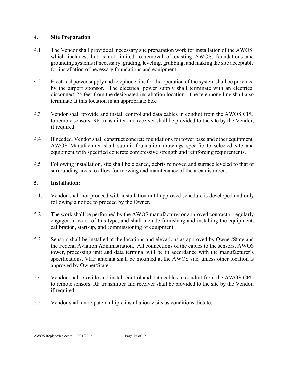### **4. Site Preparation**

- 4.1 The Vendor shall provide all necessary site preparation work for installation of the AWOS, which includes, but is not limited to removal of existing AWOS, foundations and grounding systems if necessary, grading, leveling, grubbing, and making the site acceptable for installation of necessary foundations and equipment.
- 4.2 Electrical power supply and telephone line for the operation of the system shall be provided by the airport sponsor. The electrical power supply shall terminate with an electrical disconnect 25 feet from the designated installation location. The telephone line shall also terminate at this location in an appropriate box.
- 4.3 Vendor shall provide and install control and data cables in conduit from the AWOS CPU to remote sensors. RF transmitter and receiver shall be provided to the site by the Vendor, if required.
- 4.4 If needed, Vendor shall construct concrete foundations for tower base and other equipment. AWOS Manufacturer shall submit foundation drawings specific to selected site and equipment with specified concrete compressive strength and reinforcing requirements.
- 4.5 Following installation, site shall be cleaned, debris removed and surface leveled to that of surrounding areas to allow for mowing and maintenance of the area disturbed.

#### **5. Installation:**

- 5.1. Vendor shall not proceed with installation until approved schedule is developed and only following a notice to proceed by the Owner.
- 5.2 The work shall be performed by the AWOS manufacturer or approved contractor regularly engaged in work of this type, and shall include furnishing and installing the equipment, calibration, start-up, and commissioning of equipment.
- 5.3 Sensors shall be installed at the locations and elevations as approved by Owner/State and the Federal Aviation Administration. All connections of the cables to the sensors, AWOS tower, processing unit and data terminal will be in accordance with the manufacturer's specifications. VHF antenna shall be mounted at the AWOS site, unless other location is approved by Owner/State.
- 5.4 Vendor shall provide and install control and data cables in conduit from the AWOS CPU to remote sensors. RF transmitter and receiver shall be provided to the site by the Vendor, if required.
- 5.5 Vendor shall anticipate multiple installation visits as conditions dictate.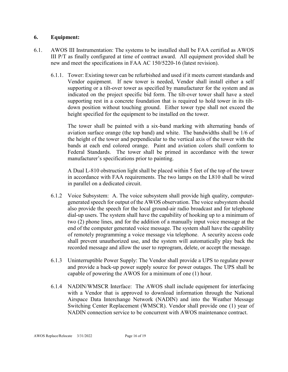## **6. Equipment:**

- 6.1. AWOS III Instrumentation: The systems to be installed shall be FAA certified as AWOS III P/T as finally configured at time of contract award. All equipment provided shall be new and meet the specifications in FAA AC 150/5220-16 (latest revision).
	- 6.1.1. Tower: Existing tower can be refurbished and used if it meets current standards and Vendor equipment. If new tower is needed, Vendor shall install either a self supporting or a tilt-over tower as specified by manufacturer for the system and as indicated on the project specific bid form. The tilt-over tower shall have a steel supporting rest in a concrete foundation that is required to hold tower in its tiltdown position without touching ground. Either tower type shall not exceed the height specified for the equipment to be installed on the tower.

The tower shall be painted with a six-band marking with alternating bands of aviation surface orange (the top band) and white. The bandwidths shall be 1/6 of the height of the tower and perpendicular to the vertical axis of the tower with the bands at each end colored orange. Paint and aviation colors shall conform to Federal Standards. The tower shall be primed in accordance with the tower manufacturer's specifications prior to painting.

A Dual L-810 obstruction light shall be placed within 5 feet of the top of the tower in accordance with FAA requirements. The two lamps on the L810 shall be wired in parallel on a dedicated circuit.

- 6.1.2 Voice Subsystem: A. The voice subsystem shall provide high quality, computergenerated speech for output of the AWOS observation. The voice subsystem should also provide the speech for the local ground-air radio broadcast and for telephone dial-up users. The system shall have the capability of hooking up to a minimum of two (2) phone lines, and for the addition of a manually input voice message at the end of the computer generated voice message. The system shall have the capability of remotely programming a voice message via telephone. A security access code shall prevent unauthorized use, and the system will automatically play back the recorded message and allow the user to reprogram, delete, or accept the message.
- 6.1.3 Uninterruptible Power Supply: The Vendor shall provide a UPS to regulate power and provide a back-up power supply source for power outages. The UPS shall be capable of powering the AWOS for a minimum of one (1) hour.
- 6.1.4 NADIN/WMSCR Interface: The AWOS shall include equipment for interfacing with a Vendor that is approved to download information through the National Airspace Data Interchange Network (NADIN) and into the Weather Message Switching Center Replacement (WMSCR). Vendor shall provide one (1) year of NADIN connection service to be concurrent with AWOS maintenance contract.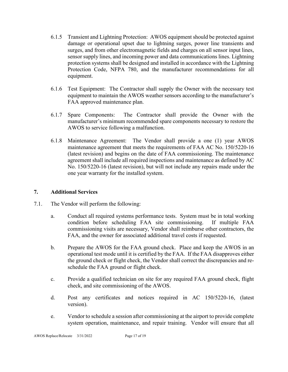- 6.1.5 Transient and Lightning Protection: AWOS equipment should be protected against damage or operational upset due to lightning surges, power line transients and surges, and from other electromagnetic fields and charges on all sensor input lines, sensor supply lines, and incoming power and data communications lines. Lightning protection systems shall be designed and installed in accordance with the Lightning Protection Code, NFPA 780, and the manufacturer recommendations for all equipment.
- 6.1.6 Test Equipment: The Contractor shall supply the Owner with the necessary test equipment to maintain the AWOS weather sensors according to the manufacturer's FAA approved maintenance plan.
- 6.1.7 Spare Components: The Contractor shall provide the Owner with the manufacturer's minimum recommended spare components necessary to restore the AWOS to service following a malfunction.
- 6.1.8 Maintenance Agreement: The Vendor shall provide a one (1) year AWOS maintenance agreement that meets the requirements of FAA AC No. 150/5220-16 (latest revision) and begins on the date of FAA commissioning. The maintenance agreement shall include all required inspections and maintenance as defined by AC No. 150/5220-16 (latest revision), but will not include any repairs made under the one year warranty for the installed system.

## **7. Additional Services**

- 7.1. The Vendor will perform the following:
	- a. Conduct all required systems performance tests. System must be in total working condition before scheduling FAA site commissioning. If multiple FAA commissioning visits are necessary, Vendor shall reimburse other contractors, the FAA, and the owner for associated additional travel costs if requested.
	- b. Prepare the AWOS for the FAA ground check. Place and keep the AWOS in an operational test mode until it is certified by the FAA. If the FAA disapproves either the ground check or flight check, the Vendor shall correct the discrepancies and reschedule the FAA ground or flight check.
	- c. Provide a qualified technician on site for any required FAA ground check, flight check, and site commissioning of the AWOS.
	- d. Post any certificates and notices required in AC 150/5220-16, (latest version).
	- e. Vendor to schedule a session after commissioning at the airport to provide complete system operation, maintenance, and repair training. Vendor will ensure that all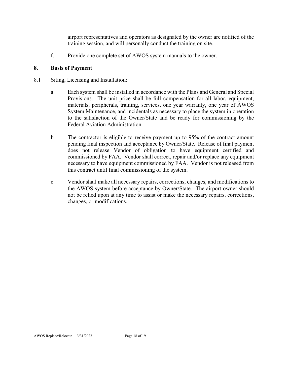airport representatives and operators as designated by the owner are notified of the training session, and will personally conduct the training on site.

f. Provide one complete set of AWOS system manuals to the owner.

## **8. Basis of Payment**

- 8.1 Siting, Licensing and Installation:
	- a. Each system shall be installed in accordance with the Plans and General and Special Provisions. The unit price shall be full compensation for all labor, equipment, materials, peripherals, training, services, one year warranty, one year of AWOS System Maintenance, and incidentals as necessary to place the system in operation to the satisfaction of the Owner/State and be ready for commissioning by the Federal Aviation Administration.
	- b. The contractor is eligible to receive payment up to 95% of the contract amount pending final inspection and acceptance by Owner/State. Release of final payment does not release Vendor of obligation to have equipment certified and commissioned by FAA. Vendor shall correct, repair and/or replace any equipment necessary to have equipment commissioned by FAA. Vendor is not released from this contract until final commissioning of the system.
	- c. Vendor shall make all necessary repairs, corrections, changes, and modifications to the AWOS system before acceptance by Owner/State. The airport owner should not be relied upon at any time to assist or make the necessary repairs, corrections, changes, or modifications.